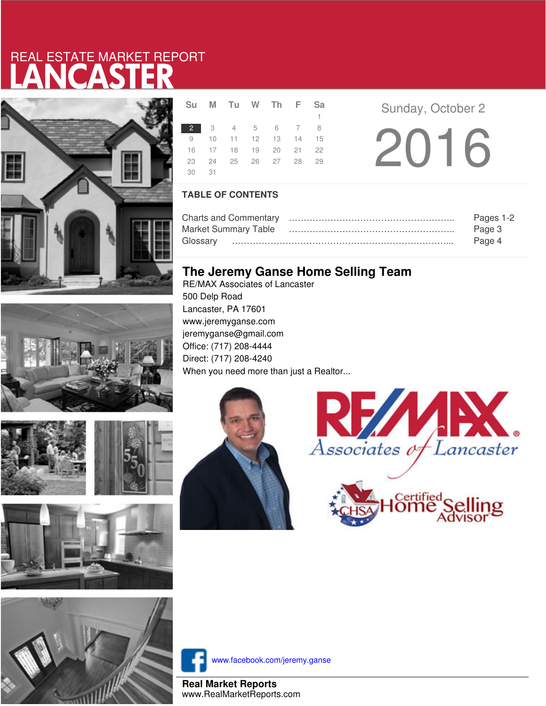# LANCASTER REAL ESTATE MARKET REPORT









|       | Su M Tu W Th F Sa    |  |              |  |
|-------|----------------------|--|--------------|--|
|       |                      |  | $\mathbf{1}$ |  |
|       | 2 3 4 5 6 7 8        |  |              |  |
|       | 9 10 11 12 13 14 15  |  |              |  |
|       | 16 17 18 19 20 21 22 |  |              |  |
|       | 23 24 25 26 27 28 29 |  |              |  |
| 30 31 |                      |  |              |  |
|       |                      |  |              |  |

**Sunday, October 2** 2016

### **TABLE OF CONTENTS**

|                      | Pages 1-2 |
|----------------------|-----------|
| Market Summary Table | Page 3    |
|                      | Page 4    |

## **The Jeremy Ganse Home Selling Team**

RE/MAX Associates of Lancaster 500 Delp Road Lancaster, PA 17601 www.jeremyganse.com jeremyganse@gmail.com Office: (717) 208-4444 Direct: (717) 208-4240 When you need more than just a Realtor...







www.facebook.com/jeremy.ganse

**Real Market Reports** www.RealMarketReports.com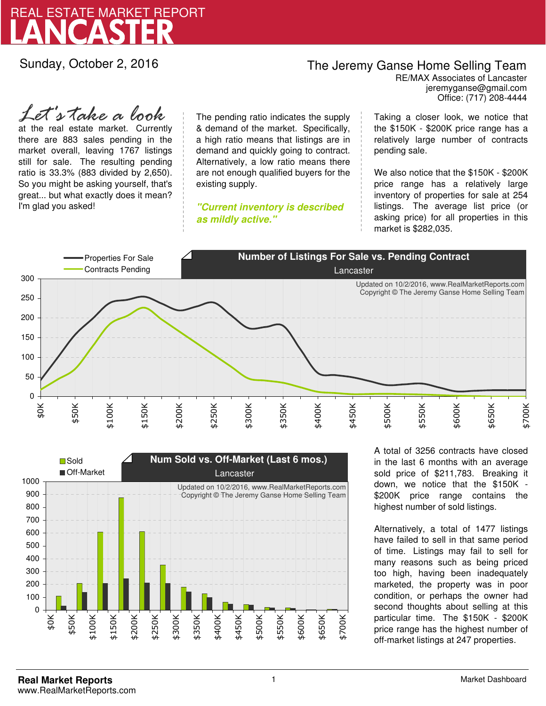

Sunday, October 2, 2016

## The Jeremy Ganse Home Selling Team

jeremyganse@gmail.com RE/MAX Associates of Lancaster Office: (717) 208-4444

at the real estate market. Currently there are 883 sales pending in the market overall, leaving 1767 listings still for sale. The resulting pending ratio is 33.3% (883 divided by 2,650). So you might be asking yourself, that's great... but what exactly does it mean? I'm glad you asked! *Let's take a look*

The pending ratio indicates the supply & demand of the market. Specifically, a high ratio means that listings are in demand and quickly going to contract. Alternatively, a low ratio means there are not enough qualified buyers for the existing supply.

**"Current inventory is described as mildly active."**

Taking a closer look, we notice that the \$150K - \$200K price range has a relatively large number of contracts pending sale.

We also notice that the \$150K - \$200K price range has a relatively large inventory of properties for sale at 254 listings. The average list price (or asking price) for all properties in this market is \$282,035.





A total of 3256 contracts have closed in the last 6 months with an average sold price of \$211,783. Breaking it down, we notice that the \$150K - \$200K price range contains the highest number of sold listings.

Alternatively, a total of 1477 listings have failed to sell in that same period of time. Listings may fail to sell for many reasons such as being priced too high, having been inadequately marketed, the property was in poor condition, or perhaps the owner had second thoughts about selling at this particular time. The \$150K - \$200K price range has the highest number of off-market listings at 247 properties.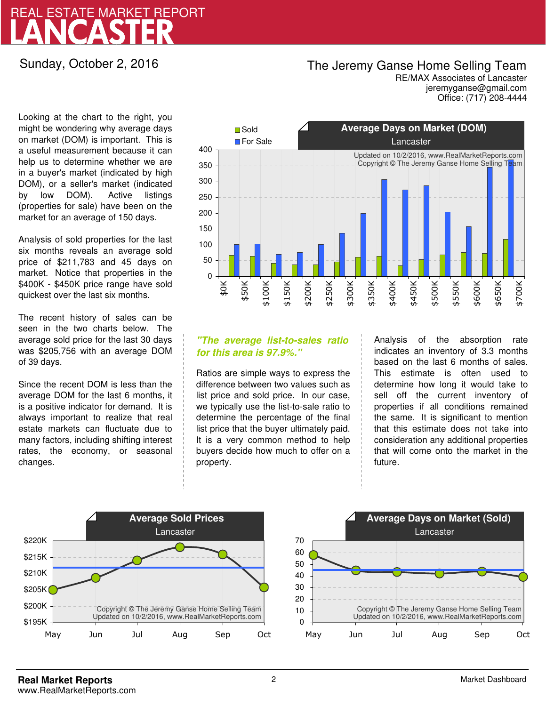# LANCASTER REAL ESTATE MARKET REPORT

### Sunday, October 2, 2016

## The Jeremy Ganse Home Selling Team

jeremyganse@gmail.com RE/MAX Associates of Lancaster Office: (717) 208-4444

Looking at the chart to the right, you might be wondering why average days on market (DOM) is important. This is a useful measurement because it can help us to determine whether we are in a buyer's market (indicated by high DOM), or a seller's market (indicated by low DOM). Active listings (properties for sale) have been on the market for an average of 150 days.

Analysis of sold properties for the last six months reveals an average sold price of \$211,783 and 45 days on market. Notice that properties in the \$400K - \$450K price range have sold quickest over the last six months.

The recent history of sales can be seen in the two charts below. The average sold price for the last 30 days was \$205,756 with an average DOM of 39 days.

Since the recent DOM is less than the average DOM for the last 6 months, it is a positive indicator for demand. It is always important to realize that real estate markets can fluctuate due to many factors, including shifting interest rates, the economy, or seasonal changes.



### **"The average list-to-sales ratio for this area is 97.9%."**

Ratios are simple ways to express the difference between two values such as list price and sold price. In our case, we typically use the list-to-sale ratio to determine the percentage of the final list price that the buyer ultimately paid. It is a very common method to help buyers decide how much to offer on a property.

Analysis of the absorption rate indicates an inventory of 3.3 months based on the last 6 months of sales. This estimate is often used to determine how long it would take to sell off the current inventory of properties if all conditions remained the same. It is significant to mention that this estimate does not take into consideration any additional properties that will come onto the market in the future.



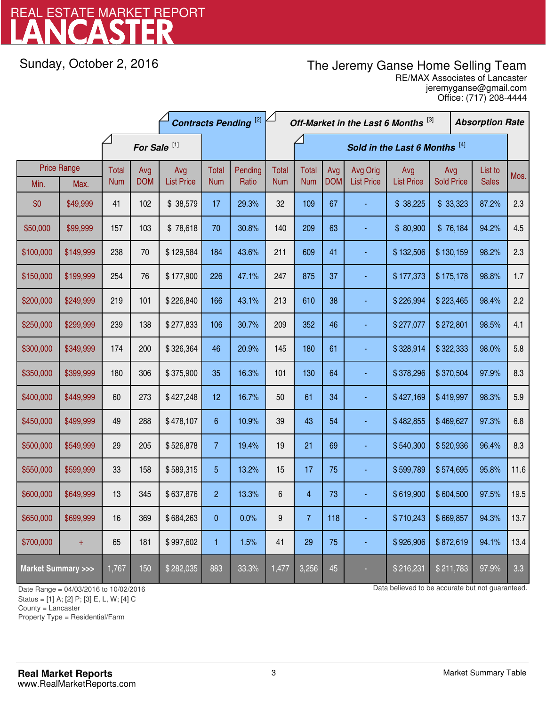# LANCASTER REAL ESTATE MARKET REPORT

Sunday, October 2, 2016

# The Jeremy Ganse Home Selling Team

jeremyganse@gmail.com RE/MAX Associates of Lancaster Office: (717) 208-4444

|                                    |                    | <b>Contracts Pending [2]</b> |            |                   | Off-Market in the Last 6 Months [3] |                               |              |                |            |                   | <b>Absorption Rate</b> |                   |  |              |      |
|------------------------------------|--------------------|------------------------------|------------|-------------------|-------------------------------------|-------------------------------|--------------|----------------|------------|-------------------|------------------------|-------------------|--|--------------|------|
|                                    |                    | For Sale <sup>[1]</sup>      |            |                   |                                     | Sold in the Last 6 Months [4] |              |                |            |                   |                        |                   |  |              |      |
|                                    | <b>Price Range</b> | Total                        | Avg        | Avg               | Total                               | Pending                       | <b>Total</b> | <b>Total</b>   | Avg        | Avg Orig          | Avg                    | Avg               |  | List to      | Mos. |
| Min.                               | Max.               | <b>Num</b>                   | <b>DOM</b> | <b>List Price</b> | <b>Num</b>                          | Ratio                         | <b>Num</b>   | <b>Num</b>     | <b>DOM</b> | <b>List Price</b> | <b>List Price</b>      | <b>Sold Price</b> |  | <b>Sales</b> |      |
| \$0                                | \$49,999           | 41                           | 102        | \$38,579          | 17                                  | 29.3%                         | 32           | 109            | 67         |                   | \$38,225               | \$33,323          |  | 87.2%        | 2.3  |
| \$50,000                           | \$99,999           | 157                          | 103        | \$78,618          | 70                                  | 30.8%                         | 140          | 209            | 63         |                   | \$80,900               | \$76,184          |  | 94.2%        | 4.5  |
| \$100,000                          | \$149,999          | 238                          | 70         | \$129,584         | 184                                 | 43.6%                         | 211          | 609            | 41         |                   | \$132,506              | \$130,159         |  | 98.2%        | 2.3  |
| \$150,000                          | \$199,999          | 254                          | 76         | \$177,900         | 226                                 | 47.1%                         | 247          | 875            | 37         |                   | \$177,373              | \$175,178         |  | 98.8%        | 1.7  |
| \$200,000                          | \$249,999          | 219                          | 101        | \$226,840         | 166                                 | 43.1%                         | 213          | 610            | 38         |                   | \$226,994              | \$223,465         |  | 98.4%        | 2.2  |
| \$250,000                          | \$299,999          | 239                          | 138        | \$277,833         | 106                                 | 30.7%                         | 209          | 352            | 46         |                   | \$277,077              | \$272,801         |  | 98.5%        | 4.1  |
| \$300,000                          | \$349,999          | 174                          | 200        | \$326,364         | 46                                  | 20.9%                         | 145          | 180            | 61         |                   | \$328,914              | \$322,333         |  | 98.0%        | 5.8  |
| \$350,000                          | \$399,999          | 180                          | 306        | \$375,900         | 35                                  | 16.3%                         | 101          | 130            | 64         |                   | \$378,296              | \$370,504         |  | 97.9%        | 8.3  |
| \$400,000                          | \$449,999          | 60                           | 273        | \$427,248         | 12                                  | 16.7%                         | 50           | 61             | 34         |                   | \$427,169              | \$419,997         |  | 98.3%        | 5.9  |
| \$450,000                          | \$499,999          | 49                           | 288        | \$478,107         | 6                                   | 10.9%                         | 39           | 43             | 54         |                   | \$482,855              | \$469,627         |  | 97.3%        | 6.8  |
| \$500,000                          | \$549,999          | 29                           | 205        | \$526,878         | $\overline{7}$                      | 19.4%                         | 19           | 21             | 69         |                   | \$540,300              | \$520,936         |  | 96.4%        | 8.3  |
| \$550,000                          | \$599,999          | 33                           | 158        | \$589,315         | 5                                   | 13.2%                         | 15           | 17             | 75         |                   | \$599,789              | \$574,695         |  | 95.8%        | 11.6 |
| \$600,000                          | \$649,999          | 13                           | 345        | \$637,876         | $\overline{c}$                      | 13.3%                         | 6            | $\overline{4}$ | 73         |                   | \$619,900              | \$604,500         |  | 97.5%        | 19.5 |
| \$650,000                          | \$699,999          | 16                           | 369        | \$684,263         | 0                                   | 0.0%                          | 9            | $\overline{7}$ | 118        |                   | \$710,243              | \$669,857         |  | 94.3%        | 13.7 |
| \$700,000                          | $+$                | 65                           | 181        | \$997,602         | 1                                   | 1.5%                          | 41           | 29             | 75         |                   | \$926,906              | \$872,619         |  | 94.1%        | 13.4 |
| <b>Market Summary &gt;&gt;&gt;</b> |                    | 1,767                        | 150        | \$282,035         | 883                                 | 33.3%                         | 1,477        | 3,256          | 45         |                   | \$216,231              | \$211,783         |  | 97.9%        | 3.3  |

Status = [1] A; [2] P; [3] E, L, W; [4] C

County = Lancaster

1

Property Type = Residential/Farm

Date Range = 04/03/2016 to 10/02/2016 control but not guaranteed.